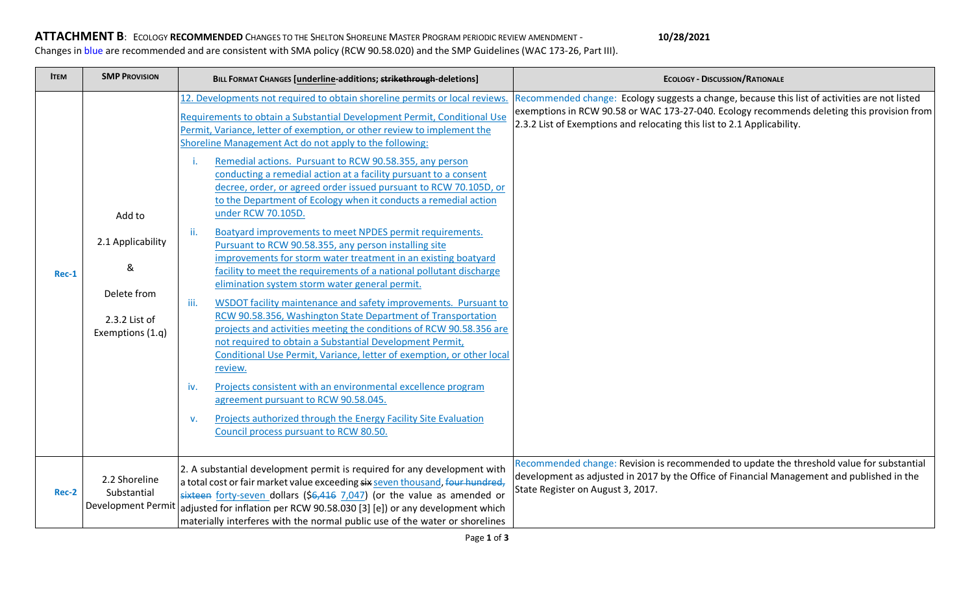## **ATTACHMENT B**: ECOLOGY **RECOMMENDED** CHANGES TO THE SHELTON SHORELINE MASTER PROGRAM PERIODIC REVIEW AMENDMENT - **10/28/2021** Changes in blue are recommended and are consistent with SMA policy (RCW 90.58.020) and the SMP Guidelines (WAC 173-26, Part III).

| <b>ITEM</b> | <b>SMP PROVISION</b>                                                                 | BILL FORMAT CHANGES [underline-additions; strikethrough-deletions]                                                                                                                                                                                                                                                                                                                                                                                                                                                                                                                                                                                                                                                                                                                                                                                                                                                                                                                                                                                                                                                                                                                                                                                                                                                                                                                                                                                                                                                          | <b>ECOLOGY - DISCUSSION/RATIONALE</b>                                                                                                                                                                                                                                  |
|-------------|--------------------------------------------------------------------------------------|-----------------------------------------------------------------------------------------------------------------------------------------------------------------------------------------------------------------------------------------------------------------------------------------------------------------------------------------------------------------------------------------------------------------------------------------------------------------------------------------------------------------------------------------------------------------------------------------------------------------------------------------------------------------------------------------------------------------------------------------------------------------------------------------------------------------------------------------------------------------------------------------------------------------------------------------------------------------------------------------------------------------------------------------------------------------------------------------------------------------------------------------------------------------------------------------------------------------------------------------------------------------------------------------------------------------------------------------------------------------------------------------------------------------------------------------------------------------------------------------------------------------------------|------------------------------------------------------------------------------------------------------------------------------------------------------------------------------------------------------------------------------------------------------------------------|
| $Rec-1$     | Add to<br>2.1 Applicability<br>&<br>Delete from<br>2.3.2 List of<br>Exemptions (1.q) | 12. Developments not required to obtain shoreline permits or local reviews.<br>Requirements to obtain a Substantial Development Permit, Conditional Use<br>Permit, Variance, letter of exemption, or other review to implement the<br>Shoreline Management Act do not apply to the following:<br>Remedial actions. Pursuant to RCW 90.58.355, any person<br>j.<br>conducting a remedial action at a facility pursuant to a consent<br>decree, order, or agreed order issued pursuant to RCW 70.105D, or<br>to the Department of Ecology when it conducts a remedial action<br>under RCW 70.105D.<br>Boatyard improvements to meet NPDES permit requirements.<br>ii.<br>Pursuant to RCW 90.58.355, any person installing site<br>improvements for storm water treatment in an existing boatyard<br>facility to meet the requirements of a national pollutant discharge<br>elimination system storm water general permit.<br>WSDOT facility maintenance and safety improvements. Pursuant to<br>iii.<br>RCW 90.58.356, Washington State Department of Transportation<br>projects and activities meeting the conditions of RCW 90.58.356 are<br>not required to obtain a Substantial Development Permit,<br>Conditional Use Permit, Variance, letter of exemption, or other local<br>review.<br>Projects consistent with an environmental excellence program<br>iv.<br>agreement pursuant to RCW 90.58.045.<br>Projects authorized through the Energy Facility Site Evaluation<br>v.<br>Council process pursuant to RCW 80.50. | Recommended change: Ecology suggests a change, because this list of activities are not listed<br>exemptions in RCW 90.58 or WAC 173-27-040. Ecology recommends deleting this provision from<br>2.3.2 List of Exemptions and relocating this list to 2.1 Applicability. |
| Rec-2       | 2.2 Shoreline<br>Substantial<br><b>Development Permit</b>                            | 2. A substantial development permit is required for any development with<br>a total cost or fair market value exceeding six seven thousand, four hundred,<br>sixteen forty-seven dollars (\$6,416 7,047) (or the value as amended or<br>adjusted for inflation per RCW 90.58.030 [3] [e]) or any development which<br>materially interferes with the normal public use of the water or shorelines                                                                                                                                                                                                                                                                                                                                                                                                                                                                                                                                                                                                                                                                                                                                                                                                                                                                                                                                                                                                                                                                                                                           | Recommended change: Revision is recommended to update the threshold value for substantial<br>development as adjusted in 2017 by the Office of Financial Management and published in the<br>State Register on August 3, 2017.                                           |